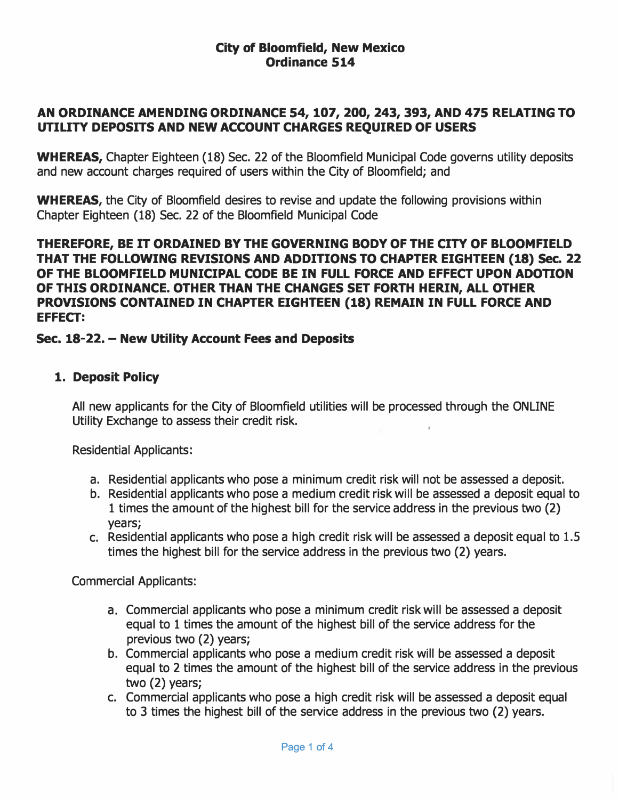### City of Bloomfield, New Mexico Ordinance 514

## AN ORDINANCE AMENDING ORDINANCE 54, 107, 200, 243, 393, AND 475 RELATING TO UTILITY DEPOSITS AND NEW ACCOUNT CHARGES REQUIRED OF USERS

WHEREAS, Chapter Eighteen (18) Sec. 22 of the Bloomfield Municipal Code governs utility deposits and new account charges required of users within the City of Bloomfield; and

WHEREAS, the City of Bloomfield desires to revise and update the following provisions within Chapter Eighteen (18) Sec. 22 of the Bloomfield Municipal Code

THEREFORE, BE IT ORDAINED BY THE GOVERNING BODY OF THE CITY OF BLOOMFIELD THAT THE FOLLOWING REVISIONS AND ADDITIONS TO CHAPTER EIGHTEEN (18) Sec. 22 OF THE BLOOMFIELD MUNICIPAL CODE BE IN FULL FORCE AND EFFECT UPON ADOTION OF THIS ORDINANCE. OTHER THAN THE CHANGES SET FORTH HERIN, ALL OTHER PROVISIONS CONTAINED IN CHAPTER EIGHTEEN (18) REMAIN IN FULL FORCE AND EFFECT:

## Sec. 18-22. - New Utility Account Fees and Deposits

## 1. Deposit Policy

All new applicants for the City of Bloomfield utilities will be processed through the ONLINE Utility Exchange to assess their credit risk.

Residential Applicants:

- a. Residential applicants who pose a minimum credit risk will not be assessed a deposit.
- b. Residential applicants who pose a medium credit risk will be assessed a deposit equal to 1 times the amount of the highest bill for the service address in the previous two (2) years;
- c. Residential applicants who pose a high credit risk will be assessed a deposit equal to 1.5 times the highest bill for the service address in the previous two (2) years.

Commercial Applicants:

- a. Commercial applicants who pose a minimum credit risk will be assessed a deposit equal to 1 times the amount of the highest bill of the service address for the previous two (2) years;
- b. Commercial applicants who pose a medium credit risk will be assessed a deposit equal to 2 times the amount of the highest bill of the service address in the previous two (2) years;
- c. Commercial applicants who pose a high credit risk will be assessed a deposit equal to 3 times the highest bill of the service address in the previous two (2) years.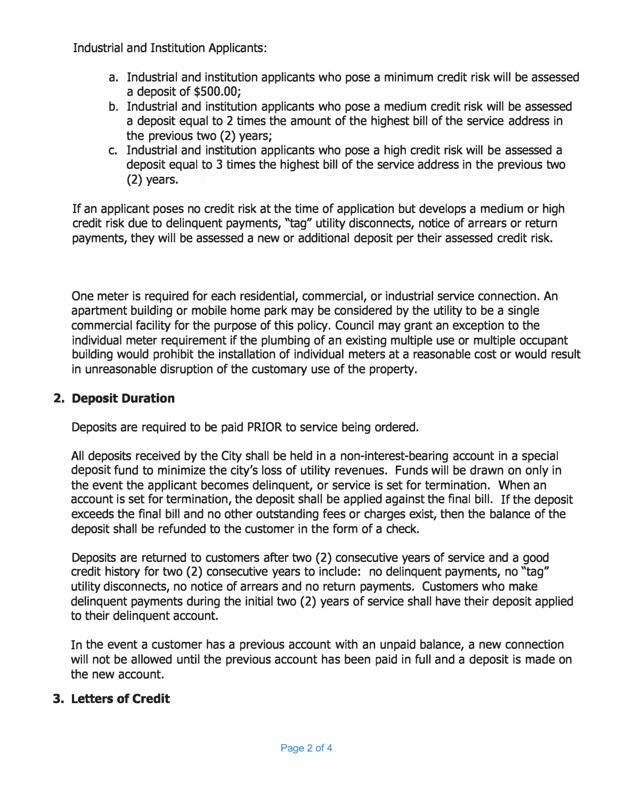Industrial and Institution Applicants:

- a. Industrial and institution applicants who pose a minimum credit risk will be assessed a deposit of \$500.00;
- b. Industrial and institution applicants who pose a medium credit risk will be assessed a deposit equal to 2 times the amount of the highest bill of the service address in the previous two (2) years;
- c. Industrial and institution applicants who pose a high credit risk will be assessed a deposit equal to 3 times the highest bill of the service address in the previous two (2) years.

If an applicant poses no credit risk at the time of application but develops a medium or high credit risk due to delinquent payments, "tag" utility disconnects, notice of arrears or return payments, they will be assessed a new or additional deposit per their assessed credit risk.

One meter is required for each residential, commercial, or industrial service connection. An apartment building or mobile home park may be considered by the utility to be a single commercial facility for the purpose of this policy. Council may grant an exception to the individual meter requirement if the plumbing of an existing multiple use or multiple occupant building would prohibit the installation of individual meters at a reasonable cost or would result in unreasonable disruption of the customary use of the property.

# 2. Deposit Duration

Deposits are required to be paid PRIOR to service being ordered.

All deposits received by the City shall be held in a non-interest-bearing account in a special deposit fund to minimize the city's loss of utility revenues. Funds will be drawn on only in the event the applicant becomes delinquent, or service is set for termination. When an account is set for termination, the deposit shall be applied against the final bill. If the deposit exceeds the final bill and no other outstanding fees or charges exist, then the balance of the deposit shall be refunded to the customer in the form of a check.

Deposits are returned to customers after two (2) consecutive years of service and a good credit history for two (2) consecutive years to include: no delinquent payments, no "tag" utility disconnects, no notice of arrears and no return payments. Customers who make delinquent payments during the initial two (2) years of service shall have their deposit applied to their delinquent account.

In the event a customer has a previous account with an unpaid balance, a new connection will not be allowed until the previous account has been paid in full and a deposit is made on the new account.

## 3. Letters of Credit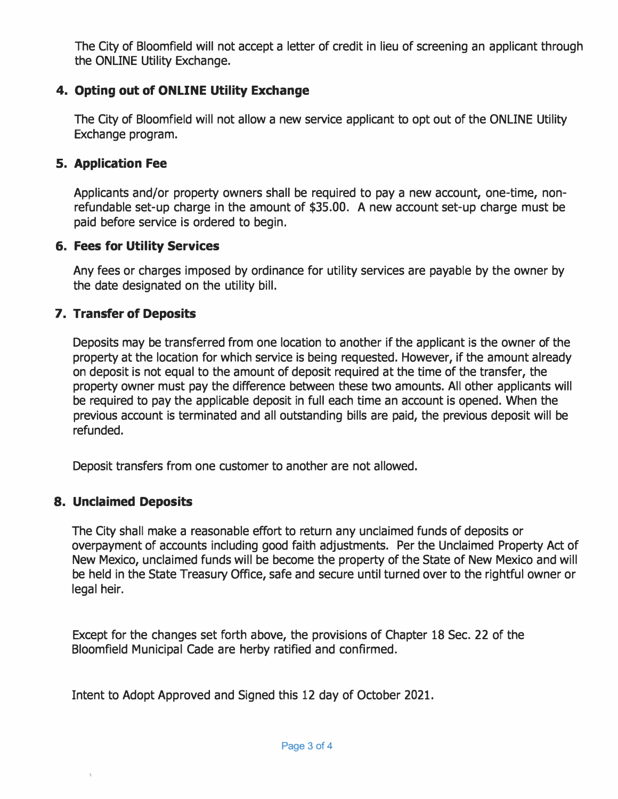The City of Bloomfield will not accept a letter of credit in lieu of screening an applicant through the ONLINE Utility Exchange.

# 4. Opting out of ONLINE Utility Exchange

The City of Bloomfield will not allow a new service applicant to opt out of the ONLINE Utility Exchange program.

### s. Application Fee

Applicants and/or property owners shall be required to pay a new account, one-time, nonrefundable set-up charge in the amount of \$35.00. A new account set-up charge must be paid before service is ordered to begin.

#### 6. Fees for Utility Services

Any fees or charges imposed by ordinance for utility services are payable by the owner by the date designated on the utility bill.

## 7. Transfer of Deposits

Deposits may be transferred from one location to another if the applicant is the owner of the property at the location for which service is being requested. However, if the amount already on deposit is not equal to the amount of deposit required at the time of the transfer, the property owner must pay the difference between these two amounts. All other applicants will be required to pay the applicable deposit in full each time an account is opened. When the previous account is terminated and all outstanding bills are paid, the previous deposit will be refunded.

Deposit transfers from one customer to another are not allowed.

## 8. Unclaimed Deposits

The City shall make a reasonable effort to return any unclaimed funds of deposits or overpayment of accounts including good faith adjustments. Per the Unclaimed Property Act of New Mexico, unclaimed funds will be become the property of the State of New Mexico and will be held in the State Treasury Office, safe and secure until turned over to the rightful owner or legal heir.

Except for the changes set forth above, the provisions of Chapter 18 Sec. 22 of the Bloomfield Municipal Cade are herby ratified and confirmed.

Intent to Adopt Approved and Signed this 12 day of October 2021.